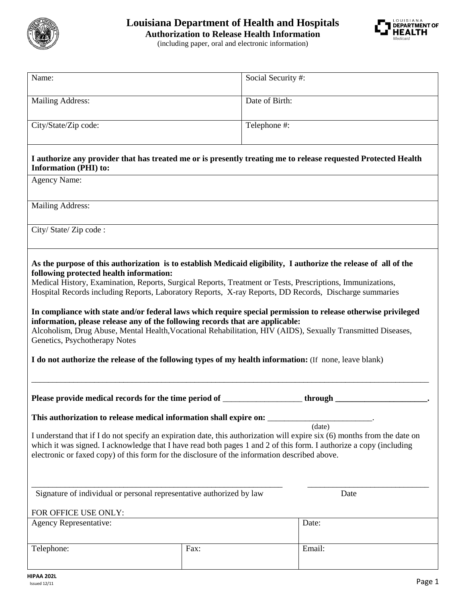

## **Louisiana Department of Health and Hospitals Authorization to Release Health Information**



(including paper, oral and electronic information)

| Name:                                                                                                                                                                                                                | Social Security #: |         |
|----------------------------------------------------------------------------------------------------------------------------------------------------------------------------------------------------------------------|--------------------|---------|
|                                                                                                                                                                                                                      | Date of Birth:     |         |
| <b>Mailing Address:</b>                                                                                                                                                                                              |                    |         |
| City/State/Zip code:                                                                                                                                                                                                 | Telephone #:       |         |
|                                                                                                                                                                                                                      |                    |         |
|                                                                                                                                                                                                                      |                    |         |
| I authorize any provider that has treated me or is presently treating me to release requested Protected Health<br><b>Information (PHI) to:</b>                                                                       |                    |         |
| <b>Agency Name:</b>                                                                                                                                                                                                  |                    |         |
|                                                                                                                                                                                                                      |                    |         |
| <b>Mailing Address:</b>                                                                                                                                                                                              |                    |         |
|                                                                                                                                                                                                                      |                    |         |
| City/State/Zip code:                                                                                                                                                                                                 |                    |         |
|                                                                                                                                                                                                                      |                    |         |
|                                                                                                                                                                                                                      |                    |         |
| As the purpose of this authorization is to establish Medicaid eligibility, I authorize the release of all of the                                                                                                     |                    |         |
| following protected health information:                                                                                                                                                                              |                    |         |
| Medical History, Examination, Reports, Surgical Reports, Treatment or Tests, Prescriptions, Immunizations,<br>Hospital Records including Reports, Laboratory Reports, X-ray Reports, DD Records, Discharge summaries |                    |         |
|                                                                                                                                                                                                                      |                    |         |
| In compliance with state and/or federal laws which require special permission to release otherwise privileged                                                                                                        |                    |         |
| information, please release any of the following records that are applicable:                                                                                                                                        |                    |         |
| Alcoholism, Drug Abuse, Mental Health, Vocational Rehabilitation, HIV (AIDS), Sexually Transmitted Diseases,                                                                                                         |                    |         |
| Genetics, Psychotherapy Notes                                                                                                                                                                                        |                    |         |
| I do not authorize the release of the following types of my health information: (If none, leave blank)                                                                                                               |                    |         |
|                                                                                                                                                                                                                      |                    |         |
|                                                                                                                                                                                                                      |                    |         |
| Please provide medical records for the time period of ___________________________                                                                                                                                    |                    | through |
|                                                                                                                                                                                                                      |                    |         |
| This authorization to release medical information shall expire on:                                                                                                                                                   |                    |         |
| (data)                                                                                                                                                                                                               |                    |         |
| I understand that if I do not specify an expiration date, this authorization will expire six (6) months from the date on                                                                                             |                    |         |
| which it was signed. I acknowledge that I have read both pages 1 and 2 of this form. I authorize a copy (including<br>electronic or faxed copy) of this form for the disclosure of the information described above.  |                    |         |
|                                                                                                                                                                                                                      |                    |         |
|                                                                                                                                                                                                                      |                    |         |
|                                                                                                                                                                                                                      |                    |         |
| Signature of individual or personal representative authorized by law<br>Date                                                                                                                                         |                    |         |
| FOR OFFICE USE ONLY:                                                                                                                                                                                                 |                    |         |
| Agency Representative:<br>Date:                                                                                                                                                                                      |                    |         |
|                                                                                                                                                                                                                      |                    |         |
|                                                                                                                                                                                                                      |                    | Email:  |
| Telephone:                                                                                                                                                                                                           | Fax:               |         |
|                                                                                                                                                                                                                      |                    |         |